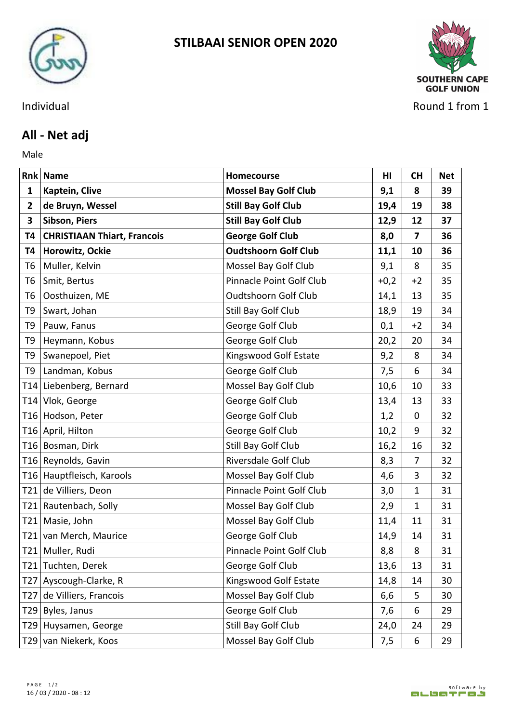



Individual Round 1 from 1

## **All - Net adj**

Male **Male** 

|                 | <b>Rnk Name</b>                    | <b>Homecourse</b>           | HI     | <b>CH</b>   | <b>Net</b> |
|-----------------|------------------------------------|-----------------------------|--------|-------------|------------|
| $\mathbf{1}$    | Kaptein, Clive                     | <b>Mossel Bay Golf Club</b> | 9,1    | 8           | 39         |
| $\mathbf{2}$    | de Bruyn, Wessel                   | <b>Still Bay Golf Club</b>  | 19,4   | 19          | 38         |
| $\mathbf{3}$    | Sibson, Piers                      | <b>Still Bay Golf Club</b>  | 12,9   | 12          | 37         |
| Т4              | <b>CHRISTIAAN Thiart, Francois</b> | <b>George Golf Club</b>     | 8,0    | 7           | 36         |
| T4              | Horowitz, Ockie                    | <b>Oudtshoorn Golf Club</b> | 11,1   | 10          | 36         |
| T6              | Muller, Kelvin                     | Mossel Bay Golf Club        | 9,1    | 8           | 35         |
| T <sub>6</sub>  | Smit, Bertus                       | Pinnacle Point Golf Club    | $+0,2$ | $+2$        | 35         |
| T <sub>6</sub>  | Oosthuizen, ME                     | Oudtshoorn Golf Club        | 14,1   | 13          | 35         |
| T <sub>9</sub>  | Swart, Johan                       | Still Bay Golf Club         | 18,9   | 19          | 34         |
| T9              | Pauw, Fanus                        | George Golf Club            | 0,1    | $+2$        | 34         |
| T <sub>9</sub>  | Heymann, Kobus                     | George Golf Club            | 20,2   | 20          | 34         |
| T <sub>9</sub>  | Swanepoel, Piet                    | Kingswood Golf Estate       | 9,2    | 8           | 34         |
| T <sub>9</sub>  | Landman, Kobus                     | George Golf Club            | 7,5    | 6           | 34         |
|                 | T14 Liebenberg, Bernard            | Mossel Bay Golf Club        | 10,6   | 10          | 33         |
|                 | T14 Vlok, George                   | George Golf Club            | 13,4   | 13          | 33         |
|                 | T16 Hodson, Peter                  | George Golf Club            | 1,2    | 0           | 32         |
|                 | T16 April, Hilton                  | George Golf Club            | 10,2   | 9           | 32         |
|                 | T16 Bosman, Dirk                   | Still Bay Golf Club         | 16,2   | 16          | 32         |
|                 | T16 Reynolds, Gavin                | Riversdale Golf Club        | 8,3    | 7           | 32         |
|                 | T16 Hauptfleisch, Karools          | Mossel Bay Golf Club        | 4,6    | 3           | 32         |
| T21             | de Villiers, Deon                  | Pinnacle Point Golf Club    | 3,0    | $\mathbf 1$ | 31         |
|                 | T21 Rautenbach, Solly              | Mossel Bay Golf Club        | 2,9    | $\mathbf 1$ | 31         |
| T21             | Masie, John                        | Mossel Bay Golf Club        | 11,4   | 11          | 31         |
| T21             | van Merch, Maurice                 | George Golf Club            | 14,9   | 14          | 31         |
|                 | T21 Muller, Rudi                   | Pinnacle Point Golf Club    | 8,8    | 8           | 31         |
| T21             | Tuchten, Derek                     | George Golf Club            | 13,6   | 13          | 31         |
|                 | T27 Ayscough-Clarke, R             | Kingswood Golf Estate       | 14,8   | 14          | 30         |
| T <sub>27</sub> | de Villiers, Francois              | Mossel Bay Golf Club        | 6,6    | 5           | 30         |
|                 | T29 Byles, Janus                   | George Golf Club            | 7,6    | 6           | 29         |
|                 | T29 Huysamen, George               | Still Bay Golf Club         | 24,0   | 24          | 29         |
|                 | T29 van Niekerk, Koos              | Mossel Bay Golf Club        | 7,5    | 6           | 29         |